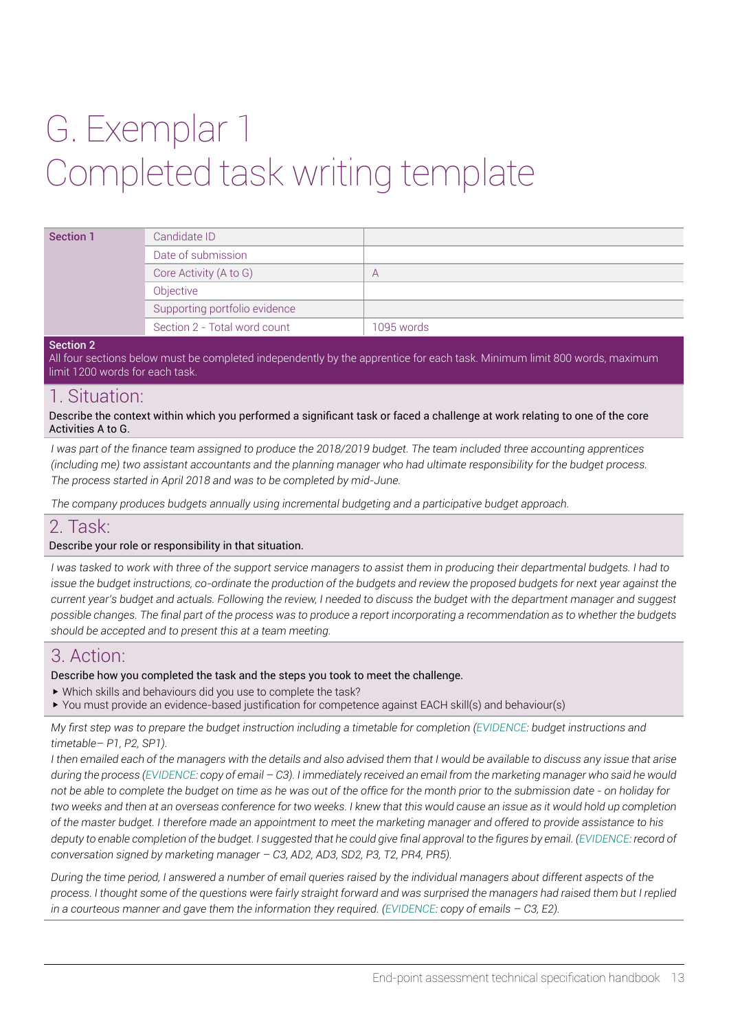# G. Exemplar 1 Completed task writing template

| <b>Section 1</b> | Candidate ID                  |            |
|------------------|-------------------------------|------------|
|                  | Date of submission            |            |
|                  | Core Activity (A to G)        | $\forall$  |
|                  | Objective                     |            |
|                  | Supporting portfolio evidence |            |
|                  | Section 2 - Total word count  | 1095 words |

#### Section 2

All four sections below must be completed independently by the apprentice for each task. Minimum limit 800 words, maximum limit 1200 words for each task.

## 1. Situation:

Describe the context within which you performed a significant task or faced a challenge at work relating to one of the core Activities A to G.

*I* was part of the finance team assigned to produce the 2018/2019 budget. The team included three accounting apprentices *(including me) two assistant accountants and the planning manager who had ultimate responsibility for the budget process. The process started in April 2018 and was to be completed by mid-June.*

*The company produces budgets annually using incremental budgeting and a participative budget approach.*

### 2. Task:

#### Describe your role or responsibility in that situation.

*I was tasked to work with three of the support service managers to assist them in producing their departmental budgets. I had to issue the budget instructions, co-ordinate the production of the budgets and review the proposed budgets for next year against the current year's budget and actuals. Following the review, I needed to discuss the budget with the department manager and suggest possible changes. The final part of the process was to produce a report incorporating a recommendation as to whether the budgets should be accepted and to present this at a team meeting.*

# 3. Action:

Describe how you completed the task and the steps you took to meet the challenge.

- w Which skills and behaviours did you use to complete the task?
- ▶ You must provide an evidence-based justification for competence against EACH skill(s) and behaviour(s)

*My first step was to prepare the budget instruction including a timetable for completion (EVIDENCE: budget instructions and timetable– P1, P2, SP1).* 

*I then emailed each of the managers with the details and also advised them that I would be available to discuss any issue that arise during the process (EVIDENCE: copy of email – C3). I immediately received an email from the marketing manager who said he would not be able to complete the budget on time as he was out of the office for the month prior to the submission date - on holiday for two weeks and then at an overseas conference for two weeks. I knew that this would cause an issue as it would hold up completion of the master budget. I therefore made an appointment to meet the marketing manager and offered to provide assistance to his deputy to enable completion of the budget. I suggested that he could give final approval to the figures by email. (EVIDENCE: record of conversation signed by marketing manager – C3, AD2, AD3, SD2, P3, T2, PR4, PR5).*

*During the time period, I answered a number of email queries raised by the individual managers about different aspects of the process. I thought some of the questions were fairly straight forward and was surprised the managers had raised them but I replied in a courteous manner and gave them the information they required. (EVIDENCE: copy of emails – C3, E2).*